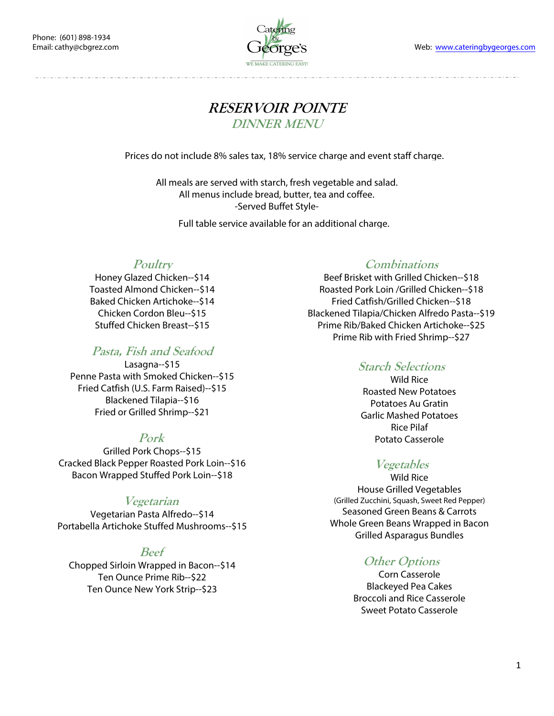Web: www.cateringbygeorges.com



# **RESERVOIR POINTE DINNER MENU**

Prices do not include 8% sales tax, 18% service charge and event staff charge.

All meals are served with starch, fresh vegetable and salad. All menus include bread, butter, tea and coffee. -Served Buffet Style-

Full table service available for an additional charge.

### **Poultry**

Honey Glazed Chicken--\$14 Toasted Almond Chicken--\$14 Baked Chicken Artichoke--\$14 Chicken Cordon Bleu--\$15 Stuffed Chicken Breast--\$15

## **Pasta, Fish and Seafood**

Lasagna--\$15 Penne Pasta with Smoked Chicken--\$15 Fried Catfish (U.S. Farm Raised)--\$15 Blackened Tilapia--\$16 Fried or Grilled Shrimp--\$21

### **Pork**

Grilled Pork Chops--\$15 Cracked Black Pepper Roasted Pork Loin--\$16 Bacon Wrapped Stuffed Pork Loin--\$18

### **Vegetarian**

Vegetarian Pasta Alfredo--\$14 Portabella Artichoke Stuffed Mushrooms--\$15

### **Beef**

Chopped Sirloin Wrapped in Bacon--\$14 Ten Ounce Prime Rib--\$22 Ten Ounce New York Strip--\$23

#### **Combinations**

Beef Brisket with Grilled Chicken--\$18 Roasted Pork Loin /Grilled Chicken--\$18 Fried Catfish/Grilled Chicken--\$18 Blackened Tilapia/Chicken Alfredo Pasta--\$19 Prime Rib/Baked Chicken Artichoke--\$25 Prime Rib with Fried Shrimp--\$27

### **Starch Selections**

Wild Rice Roasted New Potatoes Potatoes Au Gratin Garlic Mashed Potatoes Rice Pilaf Potato Casserole

## **Vegetables**

Wild Rice House Grilled Vegetables (Grilled Zucchini, Squash, Sweet Red Pepper) Seasoned Green Beans & Carrots Whole Green Beans Wrapped in Bacon Grilled Asparagus Bundles

## **Other Options**

Corn Casserole Blackeyed Pea Cakes Broccoli and Rice Casserole Sweet Potato Casserole